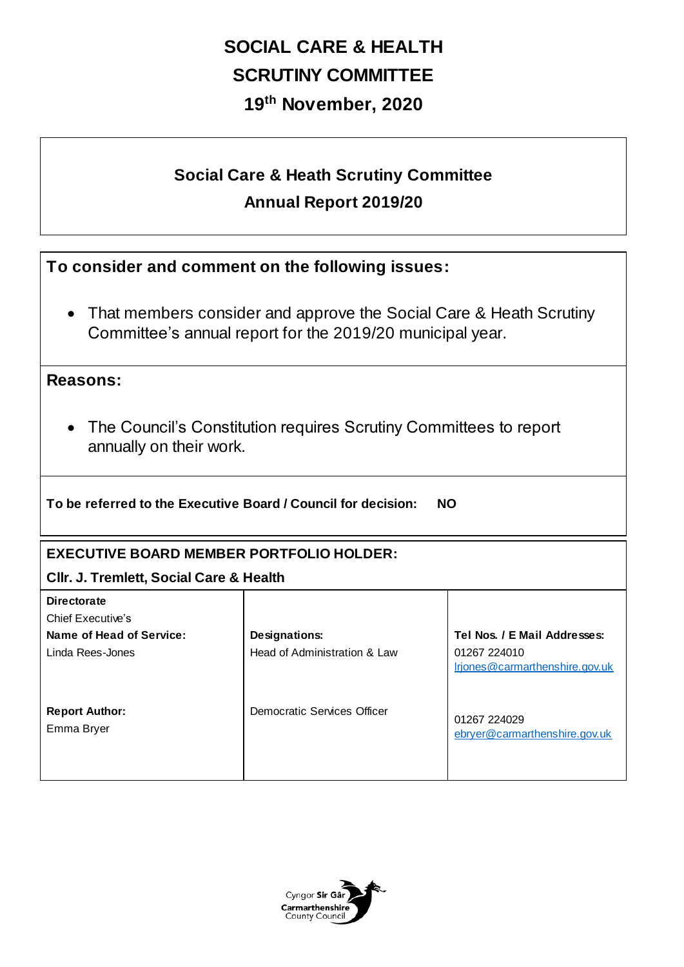# **SOCIAL CARE & HEALTH SCRUTINY COMMITTEE 19th November, 2020**

## **Social Care & Heath Scrutiny Committee Annual Report 2019/20**

**To consider and comment on the following issues:**

• That members consider and approve the Social Care & Heath Scrutiny Committee's annual report for the 2019/20 municipal year.

### **Reasons:**

 The Council's Constitution requires Scrutiny Committees to report annually on their work.

**To be referred to the Executive Board / Council for decision: NO** 

### **EXECUTIVE BOARD MEMBER PORTFOLIO HOLDER:**

#### **Cllr. J. Tremlett, Social Care & Health**

| <b>Directorate</b>                  |                              |                                                |
|-------------------------------------|------------------------------|------------------------------------------------|
| Chief Executive's                   |                              |                                                |
| Name of Head of Service:            | <b>Designations:</b>         | Tel Nos. / E Mail Addresses:                   |
| Linda Rees-Jones                    | Head of Administration & Law | 01267 224010<br>Irjones@carmarthenshire.gov.uk |
| <b>Report Author:</b><br>Emma Bryer | Democratic Services Officer  | 01267 224029<br>ebryer@carmarthenshire.gov.uk  |

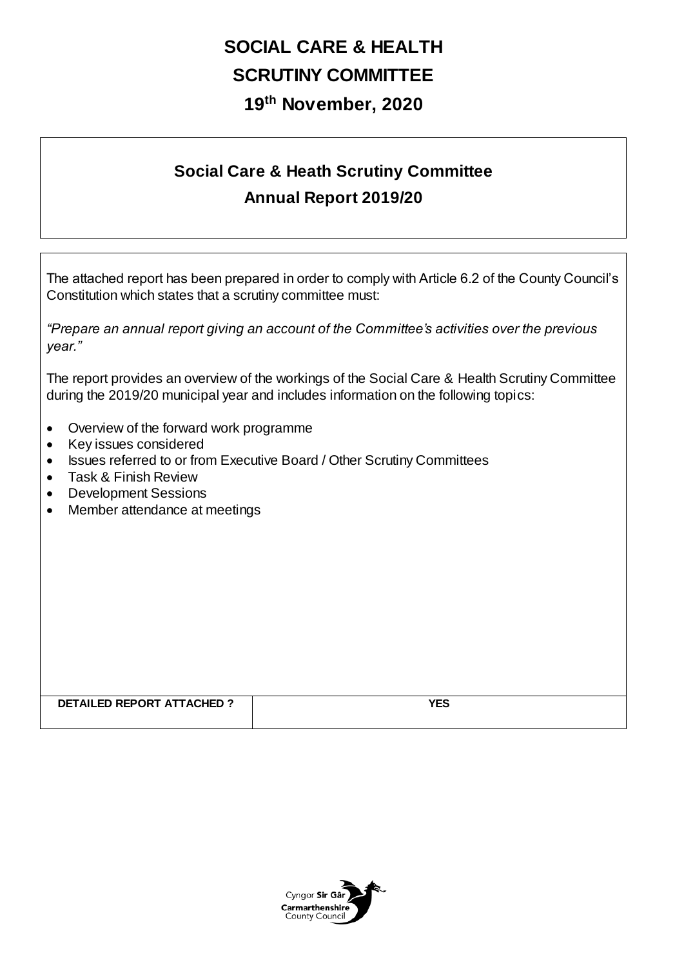## **SOCIAL CARE & HEALTH SCRUTINY COMMITTEE 19th November, 2020**

## **Social Care & Heath Scrutiny Committee Annual Report 2019/20**

The attached report has been prepared in order to comply with Article 6.2 of the County Council's Constitution which states that a scrutiny committee must:

*"Prepare an annual report giving an account of the Committee's activities over the previous year."*

The report provides an overview of the workings of the Social Care & Health Scrutiny Committee during the 2019/20 municipal year and includes information on the following topics:

- Overview of the forward work programme
- Key issues considered
- Issues referred to or from Executive Board / Other Scrutiny Committees
- Task & Finish Review
- Development Sessions
- Member attendance at meetings

| <b>DETAILED REPORT</b><br><b>ATTACHED ^</b> | $\sim$ and $\sim$<br>. Lv<br>$\sim$ |
|---------------------------------------------|-------------------------------------|
|                                             |                                     |

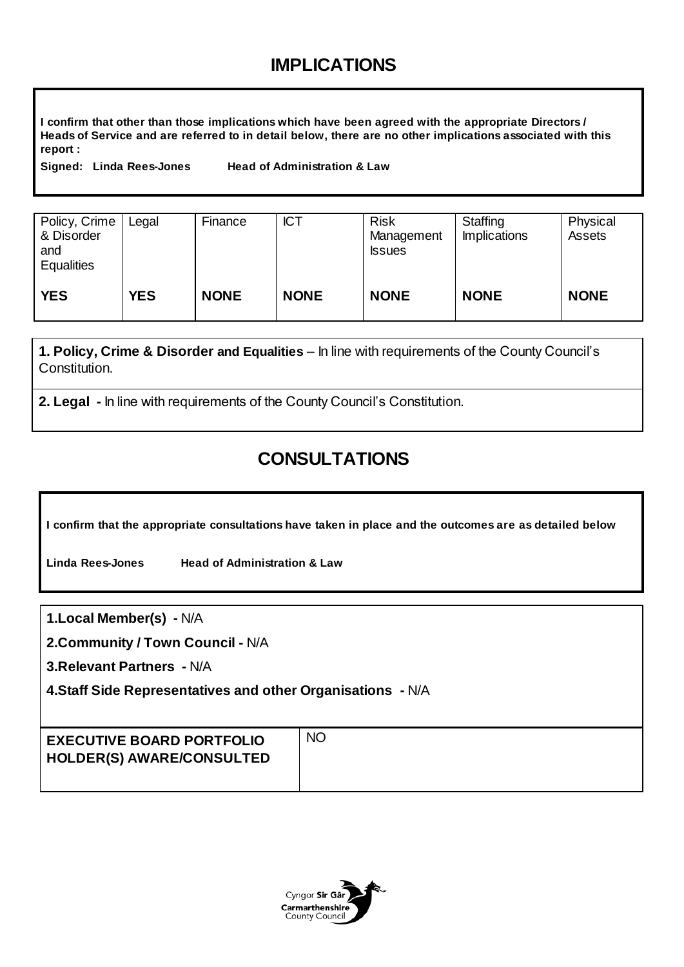## **IMPLICATIONS**

**I confirm that other than those implications which have been agreed with the appropriate Directors / Heads of Service and are referred to in detail below, there are no other implications associated with this report :**

**Signed: Linda Rees-Jones Head of Administration & Law** 

| Policy, Crime<br>& Disorder<br>and<br><b>Equalities</b> | Legal      | Finance     | <b>ICT</b>  | <b>Risk</b><br>Management<br><b>Issues</b> | Staffing<br><b>Implications</b> | Physical<br>Assets |
|---------------------------------------------------------|------------|-------------|-------------|--------------------------------------------|---------------------------------|--------------------|
| <b>YES</b>                                              | <b>YES</b> | <b>NONE</b> | <b>NONE</b> | <b>NONE</b>                                | <b>NONE</b>                     | <b>NONE</b>        |

**1. Policy, Crime & Disorder and Equalities** – In line with requirements of the County Council's Constitution.

**2. Legal -** In line with requirements of the County Council's Constitution.

## **CONSULTATIONS**

**I confirm that the appropriate consultations have taken in place and the outcomes are as detailed below**

**Linda Rees-Jones Head of Administration & Law** 

**1.Local Member(s) -** N/A

**2.Community / Town Council -** N/A

**3.Relevant Partners -** N/A

**4.Staff Side Representatives and other Organisations -** N/A

| <b>NO</b><br><b>EXECUTIVE BOARD PORTFOLIO</b><br><b>HOLDER(S) AWARE/CONSULTED</b> |  |
|-----------------------------------------------------------------------------------|--|
|-----------------------------------------------------------------------------------|--|